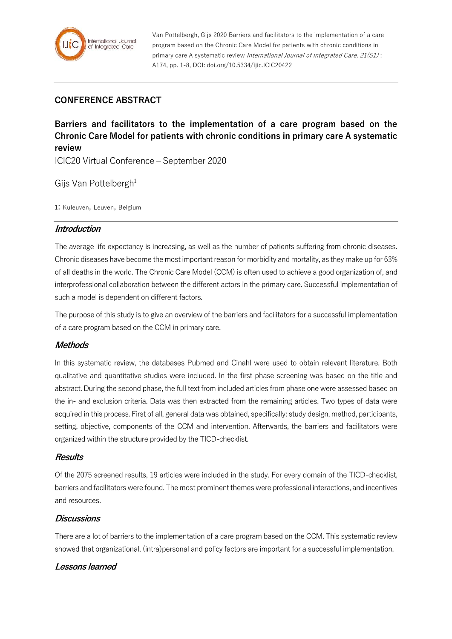

Van Pottelbergh, Gijs 2020 Barriers and facilitators to the implementation of a care program based on the Chronic Care Model for patients with chronic conditions in primary care A systematic review International Journal of Integrated Care, 21(S1): A174, pp. 1-8, DOI: doi.org/10.5334/ijic.ICIC20422

# **CONFERENCE ABSTRACT**

**Barriers and facilitators to the implementation of a care program based on the Chronic Care Model for patients with chronic conditions in primary care A systematic review**

ICIC20 Virtual Conference – September 2020

Gijs Van Pottelbergh $1$ 

1: Kuleuven, Leuven, Belgium

#### **Introduction**

The average life expectancy is increasing, as well as the number of patients suffering from chronic diseases. Chronic diseases have become the most important reason for morbidity and mortality, as they make up for 63% of all deaths in the world. The Chronic Care Model (CCM) is often used to achieve a good organization of, and interprofessional collaboration between the different actors in the primary care. Successful implementation of such a model is dependent on different factors.

The purpose of this study is to give an overview of the barriers and facilitators for a successful implementation of a care program based on the CCM in primary care.

### **Methods**

In this systematic review, the databases Pubmed and Cinahl were used to obtain relevant literature. Both qualitative and quantitative studies were included. In the first phase screening was based on the title and abstract. During the second phase, the full text from included articles from phase one were assessed based on the in- and exclusion criteria. Data was then extracted from the remaining articles. Two types of data were acquired in this process. First of all, general data was obtained, specifically: study design, method, participants, setting, objective, components of the CCM and intervention. Afterwards, the barriers and facilitators were organized within the structure provided by the TICD-checklist.

### **Results**

Of the 2075 screened results, 19 articles were included in the study. For every domain of the TICD-checklist, barriers and facilitators were found. The most prominent themes were professional interactions, and incentives and resources.

### **Discussions**

There are a lot of barriers to the implementation of a care program based on the CCM. This systematic review showed that organizational, (intra)personal and policy factors are important for a successful implementation.

### **Lessons learned**